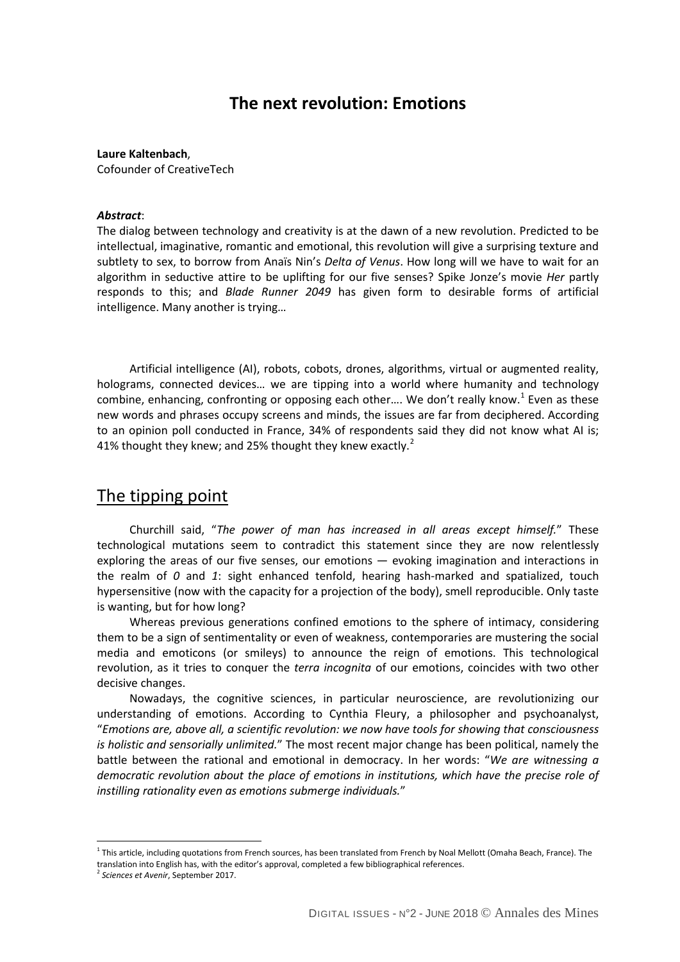### **The next revolution: Emotions**

**Laure Kaltenbach**,

Cofounder of CreativeTech

#### *Abstract*:

The dialog between technology and creativity is at the dawn of a new revolution. Predicted to be intellectual, imaginative, romantic and emotional, this revolution will give a surprising texture and subtlety to sex, to borrow from Anaïs Nin's *Delta of Venus*. How long will we have to wait for an algorithm in seductive attire to be uplifting for our five senses? Spike Jonze's movie *Her* partly responds to this; and *Blade Runner 2049* has given form to desirable forms of artificial intelligence. Many another is trying…

Artificial intelligence (AI), robots, cobots, drones, algorithms, virtual or augmented reality, holograms, connected devices… we are tipping into a world where humanity and technology combine, enhancing, confronting or opposing each other.... We don't really know.<sup>[1](#page-0-0)</sup> Even as these new words and phrases occupy screens and minds, the issues are far from deciphered. According to an opinion poll conducted in France, 34% of respondents said they did not know what AI is; 41% thought they knew; and [2](#page-0-1)5% thought they knew exactly. $^2$ 

## The tipping point

Churchill said, "*The power of man has increased in all areas except himself.*" These technological mutations seem to contradict this statement since they are now relentlessly exploring the areas of our five senses, our emotions — evoking imagination and interactions in the realm of *0* and *1*: sight enhanced tenfold, hearing hash-marked and spatialized, touch hypersensitive (now with the capacity for a projection of the body), smell reproducible. Only taste is wanting, but for how long?

Whereas previous generations confined emotions to the sphere of intimacy, considering them to be a sign of sentimentality or even of weakness, contemporaries are mustering the social media and emoticons (or smileys) to announce the reign of emotions. This technological revolution, as it tries to conquer the *terra incognita* of our emotions, coincides with two other decisive changes.

Nowadays, the cognitive sciences, in particular neuroscience, are revolutionizing our understanding of emotions. According to Cynthia Fleury, a philosopher and psychoanalyst, "*Emotions are, above all, a scientific revolution: we now have tools for showing that consciousness is holistic and sensorially unlimited.*" The most recent major change has been political, namely the battle between the rational and emotional in democracy. In her words: "*We are witnessing a democratic revolution about the place of emotions in institutions, which have the precise role of instilling rationality even as emotions submerge individuals.*"

 $\overline{a}$ 

<span id="page-0-0"></span> $1$  This article, including quotations from French sources, has been translated from French by Noal Mellott (Omaha Beach, France). The translation into English has, with the editor's approval, completed a few bibliographical references.

<span id="page-0-1"></span><sup>2</sup> *Sciences et Avenir*, September 2017.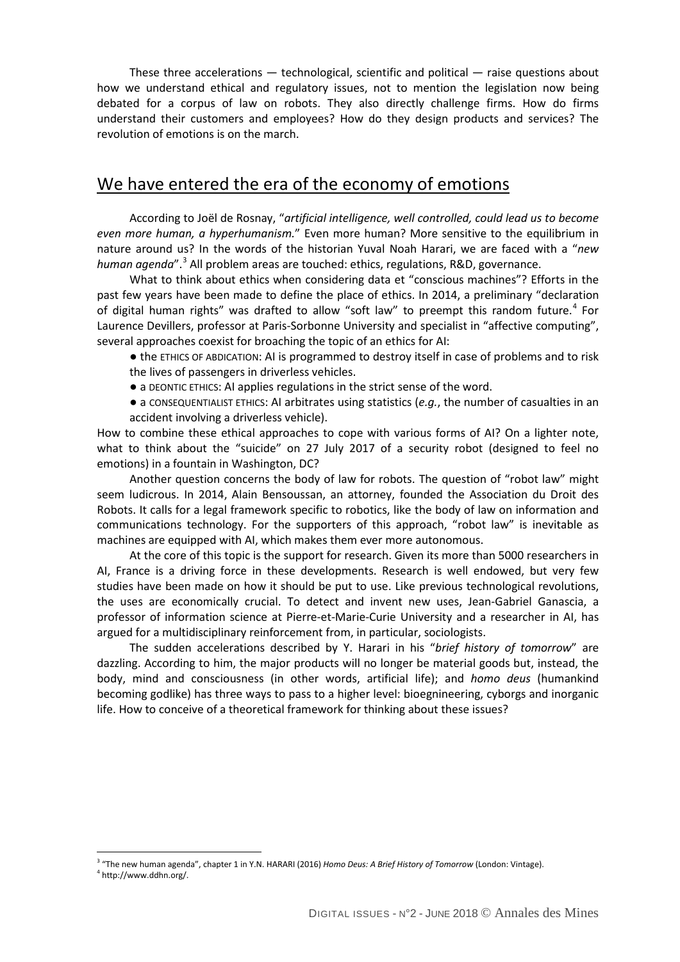These three accelerations — technological, scientific and political — raise questions about how we understand ethical and regulatory issues, not to mention the legislation now being debated for a corpus of law on robots. They also directly challenge firms. How do firms understand their customers and employees? How do they design products and services? The revolution of emotions is on the march.

# We have entered the era of the economy of emotions

According to Joël de Rosnay, "*artificial intelligence, well controlled, could lead us to become even more human, a hyperhumanism.*" Even more human? More sensitive to the equilibrium in nature around us? In the words of the historian Yuval Noah Harari, we are faced with a "*new human agenda*".[3](#page-1-0) All problem areas are touched: ethics, regulations, R&D, governance.

What to think about ethics when considering data et "conscious machines"? Efforts in the past few years have been made to define the place of ethics. In 2014, a preliminary "declaration of digital human rights" was drafted to allow "soft law" to preempt this random future.<sup>[4](#page-1-1)</sup> For Laurence Devillers, professor at Paris-Sorbonne University and specialist in "affective computing", several approaches coexist for broaching the topic of an ethics for AI:

● the ETHICS OF ABDICATION: AI is programmed to destroy itself in case of problems and to risk the lives of passengers in driverless vehicles.

• a DEONTIC ETHICS: AI applies regulations in the strict sense of the word.

● a CONSEQUENTIALIST ETHICS: AI arbitrates using statistics (*e.g.*, the number of casualties in an accident involving a driverless vehicle).

How to combine these ethical approaches to cope with various forms of AI? On a lighter note, what to think about the "suicide" on 27 July 2017 of a security robot (designed to feel no emotions) in a fountain in Washington, DC?

Another question concerns the body of law for robots. The question of "robot law" might seem ludicrous. In 2014, Alain Bensoussan, an attorney, founded the Association du Droit des Robots. It calls for a legal framework specific to robotics, like the body of law on information and communications technology. For the supporters of this approach, "robot law" is inevitable as machines are equipped with AI, which makes them ever more autonomous.

At the core of this topic is the support for research. Given its more than 5000 researchers in AI, France is a driving force in these developments. Research is well endowed, but very few studies have been made on how it should be put to use. Like previous technological revolutions, the uses are economically crucial. To detect and invent new uses, Jean-Gabriel Ganascia, a professor of information science at Pierre-et-Marie-Curie University and a researcher in AI, has argued for a multidisciplinary reinforcement from, in particular, sociologists.

The sudden accelerations described by Y. Harari in his "*brief history of tomorrow*" are dazzling. According to him, the major products will no longer be material goods but, instead, the body, mind and consciousness (in other words, artificial life); and *homo deus* (humankind becoming godlike) has three ways to pass to a higher level: bioegnineering, cyborgs and inorganic life. How to conceive of a theoretical framework for thinking about these issues?

 $\overline{a}$ 

<span id="page-1-0"></span><sup>3</sup> "The new human agenda", chapter 1 in Y.N. HARARI (2016) *Homo Deus: A Brief History of Tomorrow* (London: Vintage).

<span id="page-1-1"></span><sup>4</sup> http://www.ddhn.org/.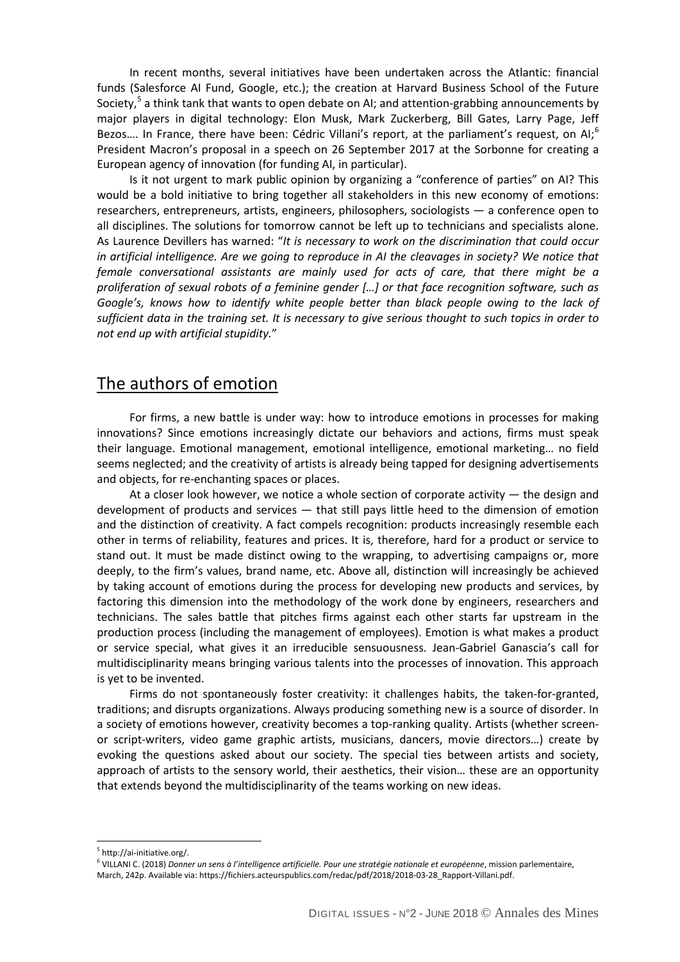In recent months, several initiatives have been undertaken across the Atlantic: financial funds (Salesforce AI Fund, Google, etc.); the creation at Harvard Business School of the Future Society,<sup>[5](#page-2-0)</sup> a think tank that wants to open debate on AI; and attention-grabbing announcements by major players in digital technology: Elon Musk, Mark Zuckerberg, Bill Gates, Larry Page, Jeff Bezos.... In France, there have been: Cédric Villani's report, at the parliament's request, on AI;<sup>[6](#page-2-1)</sup> President Macron's proposal in a speech on 26 September 2017 at the Sorbonne for creating a European agency of innovation (for funding AI, in particular).

Is it not urgent to mark public opinion by organizing a "conference of parties" on AI? This would be a bold initiative to bring together all stakeholders in this new economy of emotions: researchers, entrepreneurs, artists, engineers, philosophers, sociologists — a conference open to all disciplines. The solutions for tomorrow cannot be left up to technicians and specialists alone. As Laurence Devillers has warned: "*It is necessary to work on the discrimination that could occur in artificial intelligence. Are we going to reproduce in AI the cleavages in society? We notice that female conversational assistants are mainly used for acts of care, that there might be a proliferation of sexual robots of a feminine gender […] or that face recognition software, such as Google's, knows how to identify white people better than black people owing to the lack of sufficient data in the training set. It is necessary to give serious thought to such topics in order to not end up with artificial stupidity.*"

#### The authors of emotion

For firms, a new battle is under way: how to introduce emotions in processes for making innovations? Since emotions increasingly dictate our behaviors and actions, firms must speak their language. Emotional management, emotional intelligence, emotional marketing… no field seems neglected; and the creativity of artists is already being tapped for designing advertisements and objects, for re-enchanting spaces or places.

At a closer look however, we notice a whole section of corporate activity  $-$  the design and development of products and services — that still pays little heed to the dimension of emotion and the distinction of creativity. A fact compels recognition: products increasingly resemble each other in terms of reliability, features and prices. It is, therefore, hard for a product or service to stand out. It must be made distinct owing to the wrapping, to advertising campaigns or, more deeply, to the firm's values, brand name, etc. Above all, distinction will increasingly be achieved by taking account of emotions during the process for developing new products and services, by factoring this dimension into the methodology of the work done by engineers, researchers and technicians. The sales battle that pitches firms against each other starts far upstream in the production process (including the management of employees). Emotion is what makes a product or service special, what gives it an irreducible sensuousness. Jean-Gabriel Ganascia's call for multidisciplinarity means bringing various talents into the processes of innovation. This approach is yet to be invented.

Firms do not spontaneously foster creativity: it challenges habits, the taken-for-granted, traditions; and disrupts organizations. Always producing something new is a source of disorder. In a society of emotions however, creativity becomes a top-ranking quality. Artists (whether screenor script-writers, video game graphic artists, musicians, dancers, movie directors…) create by evoking the questions asked about our society. The special ties between artists and society, approach of artists to the sensory world, their aesthetics, their vision… these are an opportunity that extends beyond the multidisciplinarity of the teams working on new ideas.

 $\overline{a}$ 

<sup>5</sup> http://ai-initiative.org/.

<span id="page-2-1"></span><span id="page-2-0"></span><sup>6</sup> VILLANI C. (2018) *Donner un sens à l'intelligence artificielle. Pour une stratégie nationale et européenne*, mission parlementaire, March, 242p. Available via: https://fichiers.acteurspublics.com/redac/pdf/2018/2018-03-28\_Rapport-Villani.pdf.